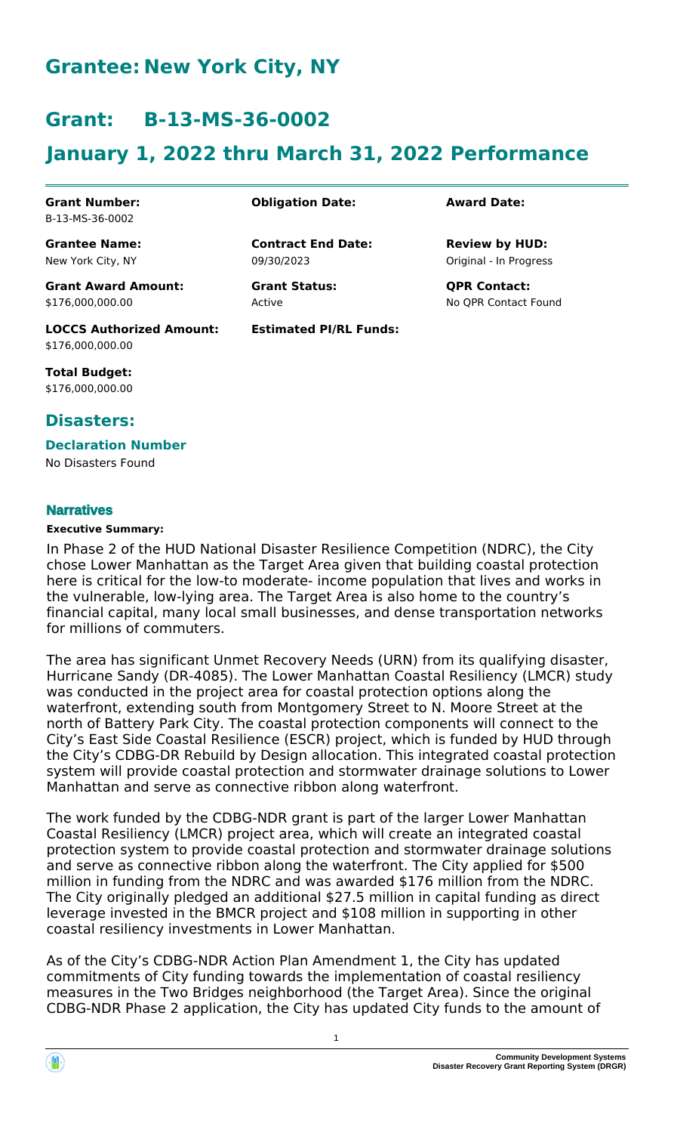# **Grantee: New York City, NY**

# **Grant: B-13-MS-36-0002**

# **January 1, 2022 thru March 31, 2022 Performance**

**Contract End Date:**

**Estimated PI/RL Funds:**

09/30/2023

Active

**Grant Number:** B-13-MS-36-0002

**Grantee Name:** New York City, NY

**Grant Award Amount:** \$176,000,000.00

**LOCCS Authorized Amount:** \$176,000,000.00

**Total Budget:** \$176,000,000.00

### **Disasters:**

## **Declaration Number**

No Disasters Found

#### **Narratives**

#### **Executive Summary:**

In Phase 2 of the HUD National Disaster Resilience Competition (NDRC), the City chose Lower Manhattan as the Target Area given that building coastal protection here is critical for the low-to moderate- income population that lives and works in the vulnerable, low-lying area. The Target Area is also home to the country's financial capital, many local small businesses, and dense transportation networks for millions of commuters.

The area has significant Unmet Recovery Needs (URN) from its qualifying disaster, Hurricane Sandy (DR-4085). The Lower Manhattan Coastal Resiliency (LMCR) study was conducted in the project area for coastal protection options along the waterfront, extending south from Montgomery Street to N. Moore Street at the north of Battery Park City. The coastal protection components will connect to the City's East Side Coastal Resilience (ESCR) project, which is funded by HUD through the City's CDBG-DR Rebuild by Design allocation. This integrated coastal protection system will provide coastal protection and stormwater drainage solutions to Lower Manhattan and serve as connective ribbon along waterfront.

The work funded by the CDBG-NDR grant is part of the larger Lower Manhattan Coastal Resiliency (LMCR) project area, which will create an integrated coastal protection system to provide coastal protection and stormwater drainage solutions and serve as connective ribbon along the waterfront. The City applied for \$500 million in funding from the NDRC and was awarded \$176 million from the NDRC. The City originally pledged an additional \$27.5 million in capital funding as direct leverage invested in the BMCR project and \$108 million in supporting in other coastal resiliency investments in Lower Manhattan.

As of the City's CDBG-NDR Action Plan Amendment 1, the City has updated commitments of City funding towards the implementation of coastal resiliency measures in the Two Bridges neighborhood (the Target Area). Since the original CDBG-NDR Phase 2 application, the City has updated City funds to the amount of



**Obligation Date: Award Date:**

Original - In Progress **Review by HUD:**

**Grant Status: QPR Contact:** No QPR Contact Found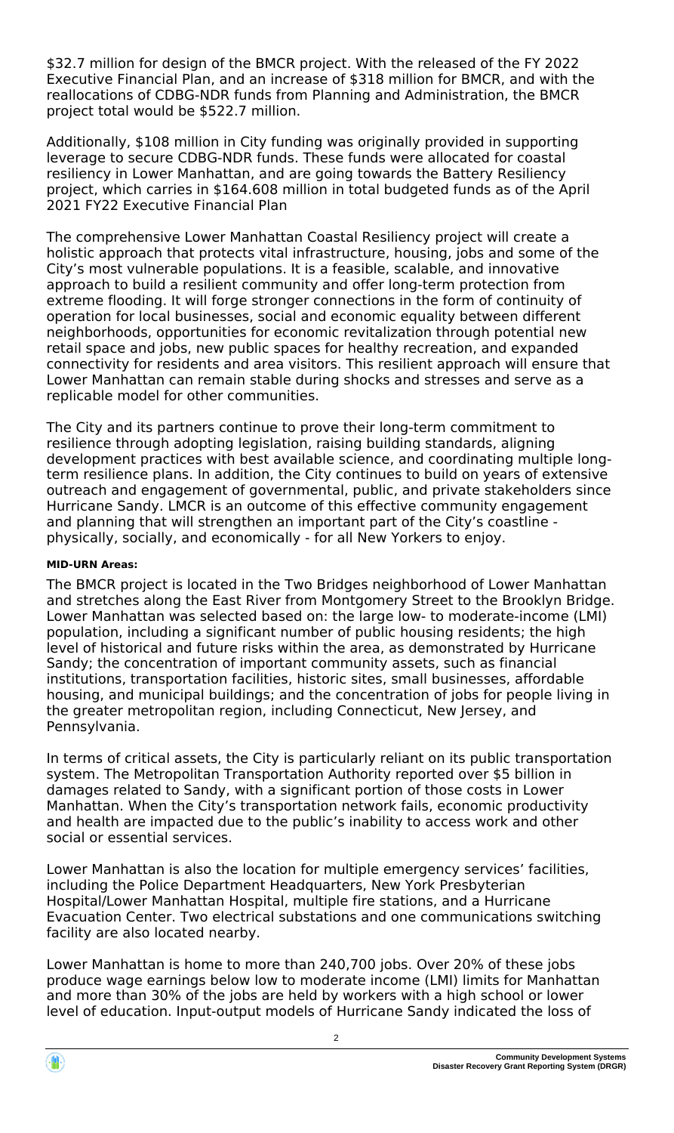\$32.7 million for design of the BMCR project. With the released of the FY 2022 Executive Financial Plan, and an increase of \$318 million for BMCR, and with the reallocations of CDBG-NDR funds from Planning and Administration, the BMCR project total would be \$522.7 million.

Additionally, \$108 million in City funding was originally provided in supporting leverage to secure CDBG-NDR funds. These funds were allocated for coastal resiliency in Lower Manhattan, and are going towards the Battery Resiliency project, which carries in \$164.608 million in total budgeted funds as of the April 2021 FY22 Executive Financial Plan

The comprehensive Lower Manhattan Coastal Resiliency project will create a holistic approach that protects vital infrastructure, housing, jobs and some of the City's most vulnerable populations. It is a feasible, scalable, and innovative approach to build a resilient community and offer long-term protection from extreme flooding. It will forge stronger connections in the form of continuity of operation for local businesses, social and economic equality between different neighborhoods, opportunities for economic revitalization through potential new retail space and jobs, new public spaces for healthy recreation, and expanded connectivity for residents and area visitors. This resilient approach will ensure that Lower Manhattan can remain stable during shocks and stresses and serve as a replicable model for other communities.

The City and its partners continue to prove their long-term commitment to resilience through adopting legislation, raising building standards, aligning development practices with best available science, and coordinating multiple longterm resilience plans. In addition, the City continues to build on years of extensive outreach and engagement of governmental, public, and private stakeholders since Hurricane Sandy. LMCR is an outcome of this effective community engagement and planning that will strengthen an important part of the City's coastline physically, socially, and economically - for all New Yorkers to enjoy.

#### **MID-URN Areas:**

The BMCR project is located in the Two Bridges neighborhood of Lower Manhattan and stretches along the East River from Montgomery Street to the Brooklyn Bridge. Lower Manhattan was selected based on: the large low- to moderate-income (LMI) population, including a significant number of public housing residents; the high level of historical and future risks within the area, as demonstrated by Hurricane Sandy; the concentration of important community assets, such as financial institutions, transportation facilities, historic sites, small businesses, affordable housing, and municipal buildings; and the concentration of jobs for people living in the greater metropolitan region, including Connecticut, New Jersey, and Pennsylvania.

In terms of critical assets, the City is particularly reliant on its public transportation system. The Metropolitan Transportation Authority reported over \$5 billion in damages related to Sandy, with a significant portion of those costs in Lower Manhattan. When the City's transportation network fails, economic productivity and health are impacted due to the public's inability to access work and other social or essential services.

Lower Manhattan is also the location for multiple emergency services' facilities, including the Police Department Headquarters, New York Presbyterian Hospital/Lower Manhattan Hospital, multiple fire stations, and a Hurricane Evacuation Center. Two electrical substations and one communications switching facility are also located nearby.

Lower Manhattan is home to more than 240,700 jobs. Over 20% of these jobs produce wage earnings below low to moderate income (LMI) limits for Manhattan and more than 30% of the jobs are held by workers with a high school or lower level of education. Input-output models of Hurricane Sandy indicated the loss of

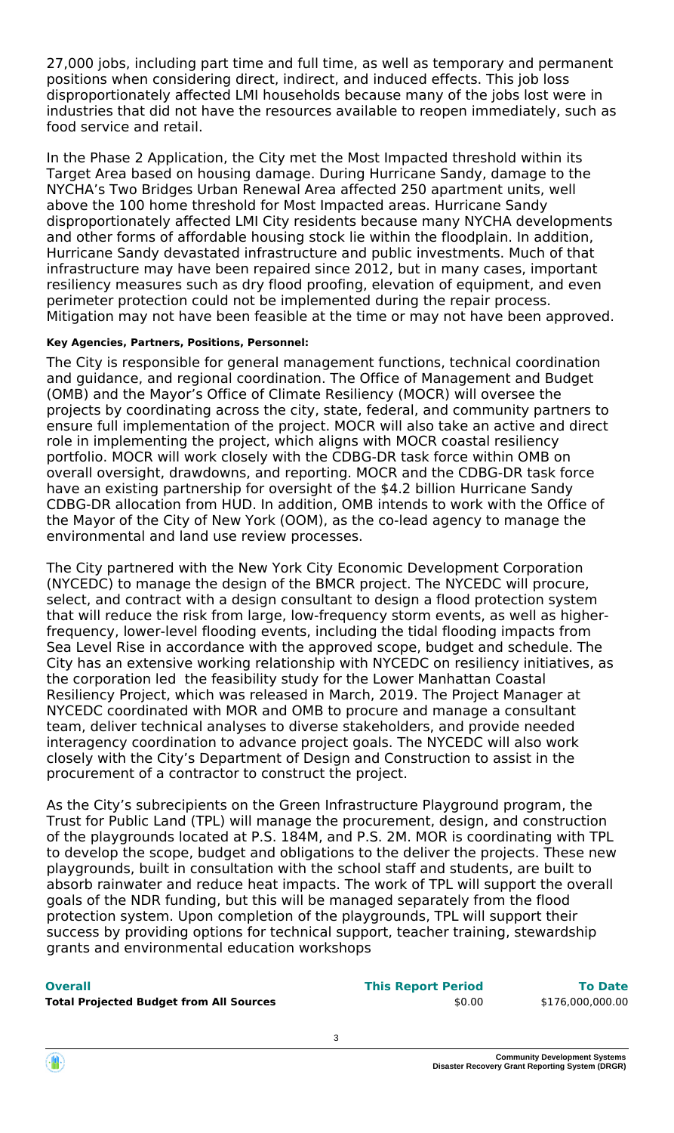27,000 jobs, including part time and full time, as well as temporary and permanent positions when considering direct, indirect, and induced effects. This job loss disproportionately affected LMI households because many of the jobs lost were in industries that did not have the resources available to reopen immediately, such as food service and retail.

In the Phase 2 Application, the City met the Most Impacted threshold within its Target Area based on housing damage. During Hurricane Sandy, damage to the NYCHA's Two Bridges Urban Renewal Area affected 250 apartment units, well above the 100 home threshold for Most Impacted areas. Hurricane Sandy disproportionately affected LMI City residents because many NYCHA developments and other forms of affordable housing stock lie within the floodplain. In addition, Hurricane Sandy devastated infrastructure and public investments. Much of that infrastructure may have been repaired since 2012, but in many cases, important resiliency measures such as dry flood proofing, elevation of equipment, and even perimeter protection could not be implemented during the repair process. Mitigation may not have been feasible at the time or may not have been approved.

#### **Key Agencies, Partners, Positions, Personnel:**

The City is responsible for general management functions, technical coordination and guidance, and regional coordination. The Office of Management and Budget (OMB) and the Mayor's Office of Climate Resiliency (MOCR) will oversee the projects by coordinating across the city, state, federal, and community partners to ensure full implementation of the project. MOCR will also take an active and direct role in implementing the project, which aligns with MOCR coastal resiliency portfolio. MOCR will work closely with the CDBG-DR task force within OMB on overall oversight, drawdowns, and reporting. MOCR and the CDBG-DR task force have an existing partnership for oversight of the \$4.2 billion Hurricane Sandy CDBG-DR allocation from HUD. In addition, OMB intends to work with the Office of the Mayor of the City of New York (OOM), as the co-lead agency to manage the environmental and land use review processes.

The City partnered with the New York City Economic Development Corporation (NYCEDC) to manage the design of the BMCR project. The NYCEDC will procure, select, and contract with a design consultant to design a flood protection system that will reduce the risk from large, low-frequency storm events, as well as higherfrequency, lower-level flooding events, including the tidal flooding impacts from Sea Level Rise in accordance with the approved scope, budget and schedule. The City has an extensive working relationship with NYCEDC on resiliency initiatives, as the corporation led the feasibility study for the Lower Manhattan Coastal Resiliency Project, which was released in March, 2019. The Project Manager at NYCEDC coordinated with MOR and OMB to procure and manage a consultant team, deliver technical analyses to diverse stakeholders, and provide needed interagency coordination to advance project goals. The NYCEDC will also work closely with the City's Department of Design and Construction to assist in the procurement of a contractor to construct the project.

As the City's subrecipients on the Green Infrastructure Playground program, the Trust for Public Land (TPL) will manage the procurement, design, and construction of the playgrounds located at P.S. 184M, and P.S. 2M. MOR is coordinating with TPL to develop the scope, budget and obligations to the deliver the projects. These new playgrounds, built in consultation with the school staff and students, are built to absorb rainwater and reduce heat impacts. The work of TPL will support the overall goals of the NDR funding, but this will be managed separately from the flood protection system. Upon completion of the playgrounds, TPL will support their success by providing options for technical support, teacher training, stewardship grants and environmental education workshops

| v.<br>۰. | ۰. | . . |  |
|----------|----|-----|--|

| <b>Overall</b>                                 | <b>This Report Period</b> | <b>To Date</b>   |
|------------------------------------------------|---------------------------|------------------|
| <b>Total Projected Budget from All Sources</b> | \$0.00                    | \$176,000,000.00 |

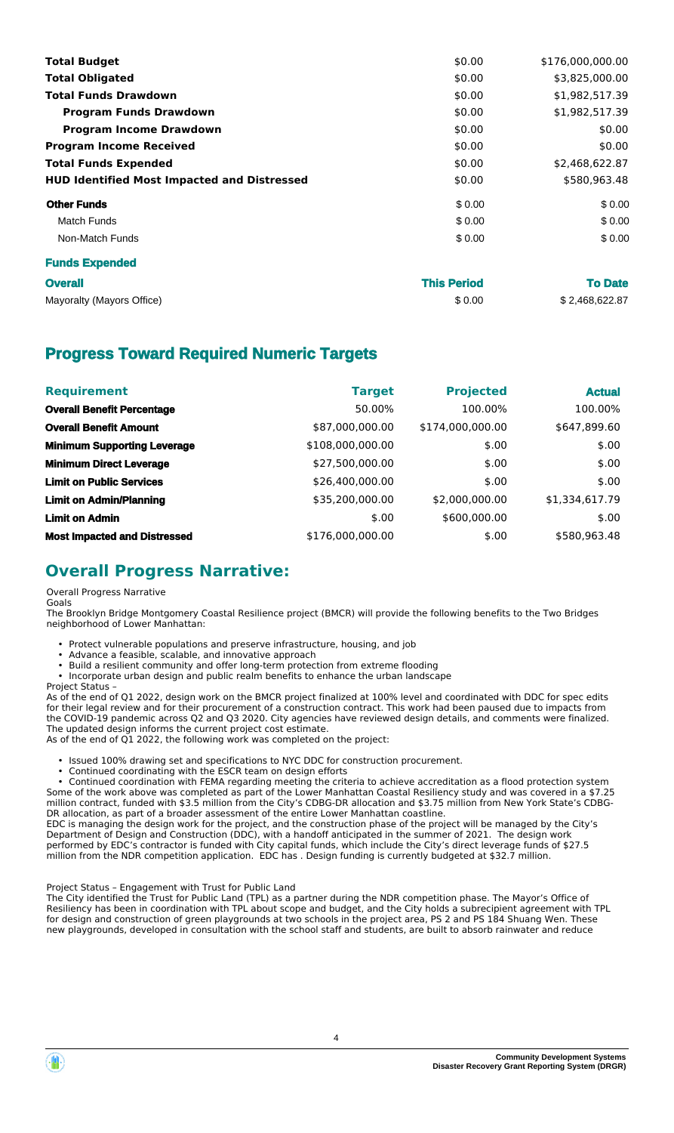| <b>Total Budget</b>                                | \$0.00 | \$176,000,000.00 |
|----------------------------------------------------|--------|------------------|
| <b>Total Obligated</b>                             | \$0.00 | \$3,825,000.00   |
| <b>Total Funds Drawdown</b>                        | \$0.00 | \$1,982,517.39   |
| <b>Program Funds Drawdown</b>                      | \$0.00 | \$1,982,517.39   |
| <b>Program Income Drawdown</b>                     | \$0.00 | \$0.00           |
| <b>Program Income Received</b>                     | \$0.00 | \$0.00           |
| <b>Total Funds Expended</b>                        | \$0.00 | \$2,468,622.87   |
| <b>HUD Identified Most Impacted and Distressed</b> | \$0.00 | \$580,963.48     |
| <b>Other Funds</b>                                 | \$0.00 | \$0.00           |
| <b>Match Funds</b>                                 | \$0.00 | \$0.00           |
| Non-Match Funds                                    | \$0.00 | \$0.00           |
| <b>Funds Expended</b>                              |        |                  |
|                                                    |        |                  |

| <b>Overall</b>            | <b>This Period</b> | <b>To Date</b> |
|---------------------------|--------------------|----------------|
| Mayoralty (Mayors Office) | \$0.00             | \$2,468,622.87 |

## **Progress Toward Required Numeric Targets**

| <b>Requirement</b>                  | <b>Target</b>    | <b>Projected</b> | <b>Actual</b>  |
|-------------------------------------|------------------|------------------|----------------|
| <b>Overall Benefit Percentage</b>   | 50.00%           | 100.00%          | 100.00%        |
| <b>Overall Benefit Amount</b>       | \$87,000,000.00  | \$174,000,000.00 | \$647,899.60   |
| <b>Minimum Supporting Leverage</b>  | \$108,000,000.00 | \$.00            | \$.00          |
| <b>Minimum Direct Leverage</b>      | \$27,500,000.00  | \$.00            | \$.00          |
| <b>Limit on Public Services</b>     | \$26,400,000.00  | \$.00            | \$.00          |
| <b>Limit on Admin/Planning</b>      | \$35,200,000.00  | \$2,000,000.00   | \$1,334,617.79 |
| <b>Limit on Admin</b>               | \$.00            | \$600,000.00     | \$.00          |
| <b>Most Impacted and Distressed</b> | \$176,000,000.00 | \$.00            | \$580.963.48   |

## **Overall Progress Narrative:**

#### Overall Progress Narrative

Goals

The Brooklyn Bridge Montgomery Coastal Resilience project (BMCR) will provide the following benefits to the Two Bridges neighborhood of Lower Manhattan:

- Protect vulnerable populations and preserve infrastructure, housing, and job
- Advance a feasible, scalable, and innovative approach
- Build a resilient community and offer long-term protection from extreme flooding
- Incorporate urban design and public realm benefits to enhance the urban landscape

#### Project Status –

As of the end of Q1 2022, design work on the BMCR project finalized at 100% level and coordinated with DDC for spec edits for their legal review and for their procurement of a construction contract. This work had been paused due to impacts from the COVID-19 pandemic across Q2 and Q3 2020. City agencies have reviewed design details, and comments were finalized. The updated design informs the current project cost estimate.

As of the end of Q1 2022, the following work was completed on the project:

- Issued 100% drawing set and specifications to NYC DDC for construction procurement.
- Continued coordinating with the ESCR team on design efforts

 • Continued coordination with FEMA regarding meeting the criteria to achieve accreditation as a flood protection system Some of the work above was completed as part of the Lower Manhattan Coastal Resiliency study and was covered in a \$7.25 million contract, funded with \$3.5 million from the City's CDBG-DR allocation and \$3.75 million from New York State's CDBG-DR allocation, as part of a broader assessment of the entire Lower Manhattan coastline.

EDC is managing the design work for the project, and the construction phase of the project will be managed by the City's Department of Design and Construction (DDC), with a handoff anticipated in the summer of 2021. The design work performed by EDC's contractor is funded with City capital funds, which include the City's direct leverage funds of \$27.5 million from the NDR competition application. EDC has . Design funding is currently budgeted at \$32.7 million.

#### Project Status – Engagement with Trust for Public Land

The City identified the Trust for Public Land (TPL) as a partner during the NDR competition phase. The Mayor's Office of Resiliency has been in coordination with TPL about scope and budget, and the City holds a subrecipient agreement with TPL for design and construction of green playgrounds at two schools in the project area, PS 2 and PS 184 Shuang Wen. These new playgrounds, developed in consultation with the school staff and students, are built to absorb rainwater and reduce

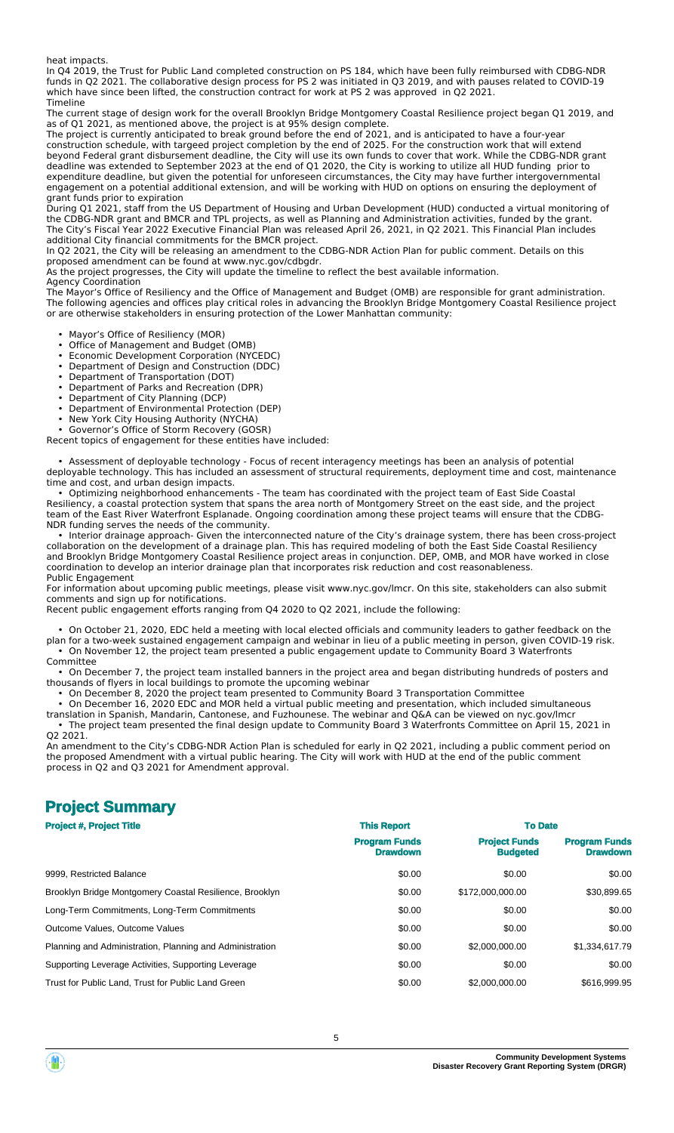heat impacts.

In Q4 2019, the Trust for Public Land completed construction on PS 184, which have been fully reimbursed with CDBG-NDR funds in Q2 2021. The collaborative design process for PS 2 was initiated in Q3 2019, and with pauses related to COVID-19 which have since been lifted, the construction contract for work at PS 2 was approved in Q2 2021. Timeline

The current stage of design work for the overall Brooklyn Bridge Montgomery Coastal Resilience project began Q1 2019, and as of Q1 2021, as mentioned above, the project is at 95% design complete.

The project is currently anticipated to break ground before the end of 2021, and is anticipated to have a four-year construction schedule, with targeed project completion by the end of 2025. For the construction work that will extend beyond Federal grant disbursement deadline, the City will use its own funds to cover that work. While the CDBG-NDR grant deadline was extended to September 2023 at the end of Q1 2020, the City is working to utilize all HUD funding prior to expenditure deadline, but given the potential for unforeseen circumstances, the City may have further intergovernmental engagement on a potential additional extension, and will be working with HUD on options on ensuring the deployment of grant funds prior to expiration

During Q1 2021, staff from the US Department of Housing and Urban Development (HUD) conducted a virtual monitoring of the CDBG-NDR grant and BMCR and TPL projects, as well as Planning and Administration activities, funded by the grant. The City's Fiscal Year 2022 Executive Financial Plan was released April 26, 2021, in Q2 2021. This Financial Plan includes additional City financial commitments for the BMCR project.

In Q2 2021, the City will be releasing an amendment to the CDBG-NDR Action Plan for public comment. Details on this proposed amendment can be found at www.nyc.gov/cdbgdr.

As the project progresses, the City will update the timeline to reflect the best available information.

Agency Coordination

The Mayor's Office of Resiliency and the Office of Management and Budget (OMB) are responsible for grant administration. The following agencies and offices play critical roles in advancing the Brooklyn Bridge Montgomery Coastal Resilience project or are otherwise stakeholders in ensuring protection of the Lower Manhattan community:

• Mayor's Office of Resiliency (MOR)

- Office of Management and Budget (OMB)
- Economic Development Corporation (NYCEDC)
	- Department of Design and Construction (DDC)
	- Department of Transportation (DOT)<br>• Department of Parks and Recreation
- Department of Parks and Recreation (DPR) • Department of City Planning (DCP)
	- Department of Environmental Protection (DEP)
	- New York City Housing Authority (NYCHA)
	- Governor's Office of Storm Recovery (GOSR)

Recent topics of engagement for these entities have included:

 • Assessment of deployable technology - Focus of recent interagency meetings has been an analysis of potential deployable technology. This has included an assessment of structural requirements, deployment time and cost, maintenance time and cost, and urban design impacts.

 • Optimizing neighborhood enhancements - The team has coordinated with the project team of East Side Coastal Resiliency, a coastal protection system that spans the area north of Montgomery Street on the east side, and the project team of the East River Waterfront Esplanade. Ongoing coordination among these project teams will ensure that the CDBG-NDR funding serves the needs of the community.

 • Interior drainage approach- Given the interconnected nature of the City's drainage system, there has been cross-project collaboration on the development of a drainage plan. This has required modeling of both the East Side Coastal Resiliency and Brooklyn Bridge Montgomery Coastal Resilience project areas in conjunction. DEP, OMB, and MOR have worked in close coordination to develop an interior drainage plan that incorporates risk reduction and cost reasonableness. Public Engagement

For information about upcoming public meetings, please visit www.nyc.gov/lmcr. On this site, stakeholders can also submit comments and sign up for notifications.

Recent public engagement efforts ranging from Q4 2020 to Q2 2021, include the following:

 • On October 21, 2020, EDC held a meeting with local elected officials and community leaders to gather feedback on the plan for a two-week sustained engagement campaign and webinar in lieu of a public meeting in person, given COVID-19 risk. • On November 12, the project team presented a public engagement update to Community Board 3 Waterfronts

Committee • On December 7, the project team installed banners in the project area and began distributing hundreds of posters and thousands of flyers in local buildings to promote the upcoming webinar

• On December 8, 2020 the project team presented to Community Board 3 Transportation Committee

• On December 16, 2020 EDC and MOR held a virtual public meeting and presentation, which included simultaneous

translation in Spanish, Mandarin, Cantonese, and Fuzhounese. The webinar and Q&A can be viewed on [nyc.gov/lmcr](http://www.nyc.gov/lmcr) • The project team presented the final design update to Community Board 3 Waterfronts Committee on April 15, 2021 in Q2 2021.

An amendment to the City's CDBG-NDR Action Plan is scheduled for early in Q2 2021, including a public comment period on the proposed Amendment with a virtual public hearing. The City will work with HUD at the end of the public comment process in Q2 and Q3 2021 for Amendment approval.

## **Project Summary**

| <b>Project #, Project Title</b>                          | <b>This Report</b>                      | <b>To Date</b>                          |                                         |
|----------------------------------------------------------|-----------------------------------------|-----------------------------------------|-----------------------------------------|
|                                                          | <b>Program Funds</b><br><b>Drawdown</b> | <b>Project Funds</b><br><b>Budgeted</b> | <b>Program Funds</b><br><b>Drawdown</b> |
| 9999, Restricted Balance                                 | \$0.00                                  | \$0.00                                  | \$0.00                                  |
| Brooklyn Bridge Montgomery Coastal Resilience, Brooklyn  | \$0.00                                  | \$172,000,000,00                        | \$30,899.65                             |
| Long-Term Commitments, Long-Term Commitments             | \$0.00                                  | \$0.00                                  | \$0.00                                  |
| Outcome Values, Outcome Values                           | \$0.00                                  | \$0.00                                  | \$0.00                                  |
| Planning and Administration, Planning and Administration | \$0.00                                  | \$2,000,000,00                          | \$1,334,617.79                          |
| Supporting Leverage Activities, Supporting Leverage      | \$0.00                                  | \$0.00                                  | \$0.00                                  |
| Trust for Public Land. Trust for Public Land Green       | \$0.00                                  | \$2,000,000,00                          | \$616,999.95                            |